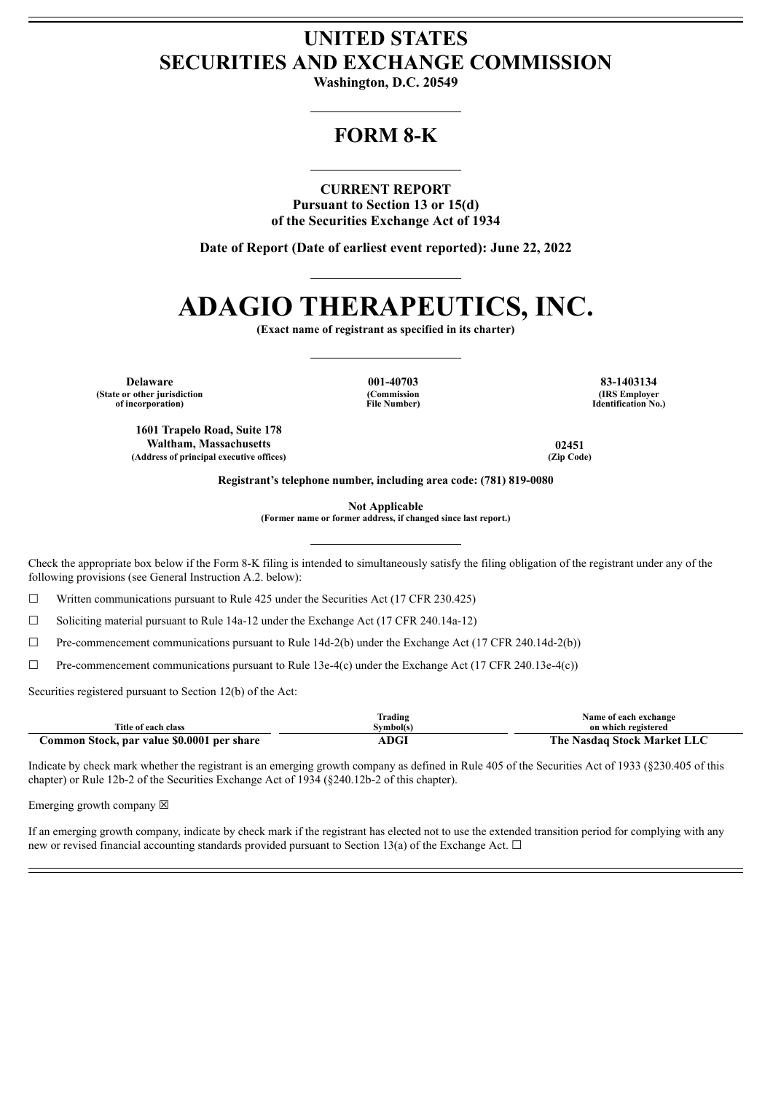## **UNITED STATES SECURITIES AND EXCHANGE COMMISSION**

**Washington, D.C. 20549**

## **FORM 8-K**

### **CURRENT REPORT**

**Pursuant to Section 13 or 15(d) of the Securities Exchange Act of 1934**

**Date of Report (Date of earliest event reported): June 22, 2022**

# **ADAGIO THERAPEUTICS, INC.**

**(Exact name of registrant as specified in its charter)**

**Delaware 001-40703 83-1403134 (State or other jurisdiction of incorporation)**

**(Commission File Number)**

**(IRS Employer Identification No.)**

**1601 Trapelo Road, Suite 178 Waltham, Massachusetts 02451 (Address of principal executive offices) (Zip Code)**

**Registrant's telephone number, including area code: (781) 819-0080**

**Not Applicable**

**(Former name or former address, if changed since last report.)**

Check the appropriate box below if the Form 8-K filing is intended to simultaneously satisfy the filing obligation of the registrant under any of the following provisions (see General Instruction A.2. below):

 $\Box$  Written communications pursuant to Rule 425 under the Securities Act (17 CFR 230.425)

☐ Soliciting material pursuant to Rule 14a-12 under the Exchange Act (17 CFR 240.14a-12)

 $\Box$  Pre-commencement communications pursuant to Rule 14d-2(b) under the Exchange Act (17 CFR 240.14d-2(b))

 $\Box$  Pre-commencement communications pursuant to Rule 13e-4(c) under the Exchange Act (17 CFR 240.13e-4(c))

Securities registered pursuant to Section 12(b) of the Act:

|                                            | lrading     | Name of each exchange       |
|--------------------------------------------|-------------|-----------------------------|
| Title of each class                        | Svmbol(s)   | on which registered         |
| Common Stock, par value \$0.0001 per share | <b>ADGI</b> | The Nasdaq Stock Market LLC |

Indicate by check mark whether the registrant is an emerging growth company as defined in Rule 405 of the Securities Act of 1933 (§230.405 of this chapter) or Rule 12b-2 of the Securities Exchange Act of 1934 (§240.12b-2 of this chapter).

Emerging growth company  $\boxtimes$ 

If an emerging growth company, indicate by check mark if the registrant has elected not to use the extended transition period for complying with any new or revised financial accounting standards provided pursuant to Section 13(a) of the Exchange Act.  $\Box$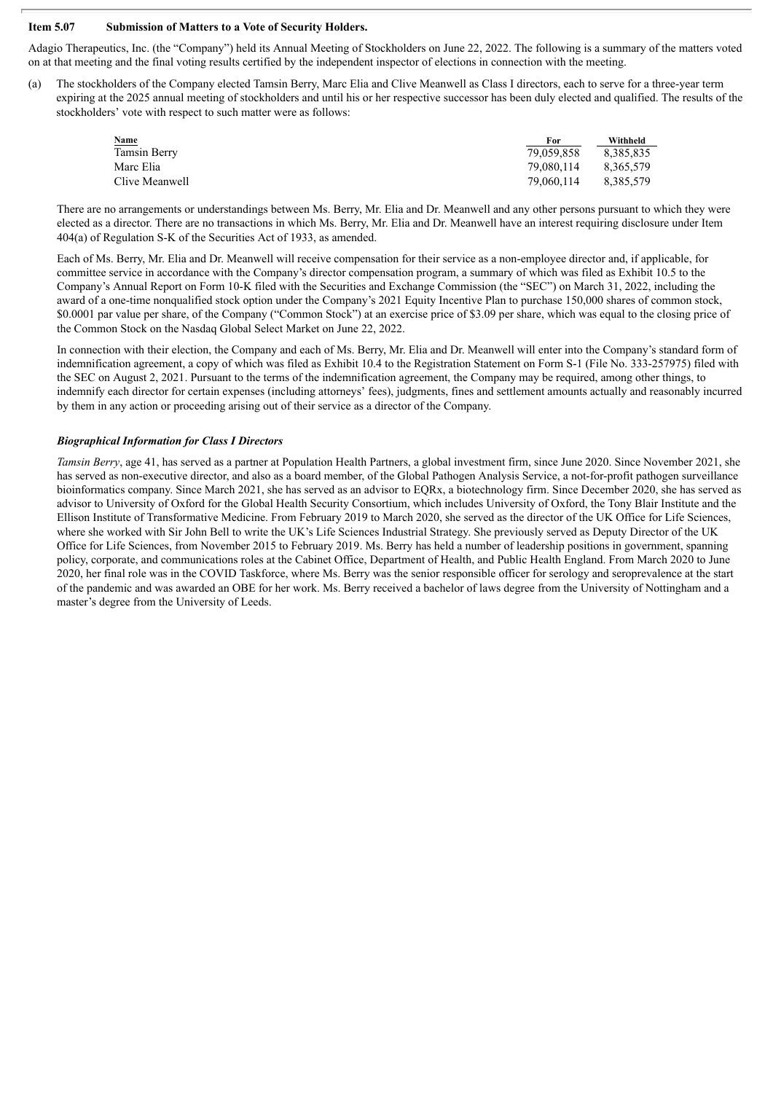### **Item 5.07 Submission of Matters to a Vote of Security Holders.**

Adagio Therapeutics, Inc. (the "Company") held its Annual Meeting of Stockholders on June 22, 2022. The following is a summary of the matters voted on at that meeting and the final voting results certified by the independent inspector of elections in connection with the meeting.

(a) The stockholders of the Company elected Tamsin Berry, Marc Elia and Clive Meanwell as Class I directors, each to serve for a three-year term expiring at the 2025 annual meeting of stockholders and until his or her respective successor has been duly elected and qualified. The results of the stockholders' vote with respect to such matter were as follows:

| Name           | For        | Withheld  |
|----------------|------------|-----------|
| Tamsin Berry   | 79.059.858 | 8.385.835 |
| Marc Elia      | 79.080.114 | 8.365.579 |
| Clive Meanwell | 79.060.114 | 8.385.579 |

There are no arrangements or understandings between Ms. Berry, Mr. Elia and Dr. Meanwell and any other persons pursuant to which they were elected as a director. There are no transactions in which Ms. Berry, Mr. Elia and Dr. Meanwell have an interest requiring disclosure under Item 404(a) of Regulation S-K of the Securities Act of 1933, as amended.

Each of Ms. Berry, Mr. Elia and Dr. Meanwell will receive compensation for their service as a non-employee director and, if applicable, for committee service in accordance with the Company's director compensation program, a summary of which was filed as Exhibit 10.5 to the Company's Annual Report on Form 10-K filed with the Securities and Exchange Commission (the "SEC") on March 31, 2022, including the award of a one-time nonqualified stock option under the Company's 2021 Equity Incentive Plan to purchase 150,000 shares of common stock, \$0.0001 par value per share, of the Company ("Common Stock") at an exercise price of \$3.09 per share, which was equal to the closing price of the Common Stock on the Nasdaq Global Select Market on June 22, 2022.

In connection with their election, the Company and each of Ms. Berry, Mr. Elia and Dr. Meanwell will enter into the Company's standard form of indemnification agreement, a copy of which was filed as Exhibit 10.4 to the Registration Statement on Form S-1 (File No. 333-257975) filed with the SEC on August 2, 2021. Pursuant to the terms of the indemnification agreement, the Company may be required, among other things, to indemnify each director for certain expenses (including attorneys' fees), judgments, fines and settlement amounts actually and reasonably incurred by them in any action or proceeding arising out of their service as a director of the Company.

### *Biographical Information for Class I Directors*

*Tamsin Berry*, age 41, has served as a partner at Population Health Partners, a global investment firm, since June 2020. Since November 2021, she has served as non-executive director, and also as a board member, of the Global Pathogen Analysis Service, a not-for-profit pathogen surveillance bioinformatics company. Since March 2021, she has served as an advisor to EQRx, a biotechnology firm. Since December 2020, she has served as advisor to University of Oxford for the Global Health Security Consortium, which includes University of Oxford, the Tony Blair Institute and the Ellison Institute of Transformative Medicine. From February 2019 to March 2020, she served as the director of the UK Office for Life Sciences, where she worked with Sir John Bell to write the UK's Life Sciences Industrial Strategy. She previously served as Deputy Director of the UK Office for Life Sciences, from November 2015 to February 2019. Ms. Berry has held a number of leadership positions in government, spanning policy, corporate, and communications roles at the Cabinet Office, Department of Health, and Public Health England. From March 2020 to June 2020, her final role was in the COVID Taskforce, where Ms. Berry was the senior responsible officer for serology and seroprevalence at the start of the pandemic and was awarded an OBE for her work. Ms. Berry received a bachelor of laws degree from the University of Nottingham and a master's degree from the University of Leeds.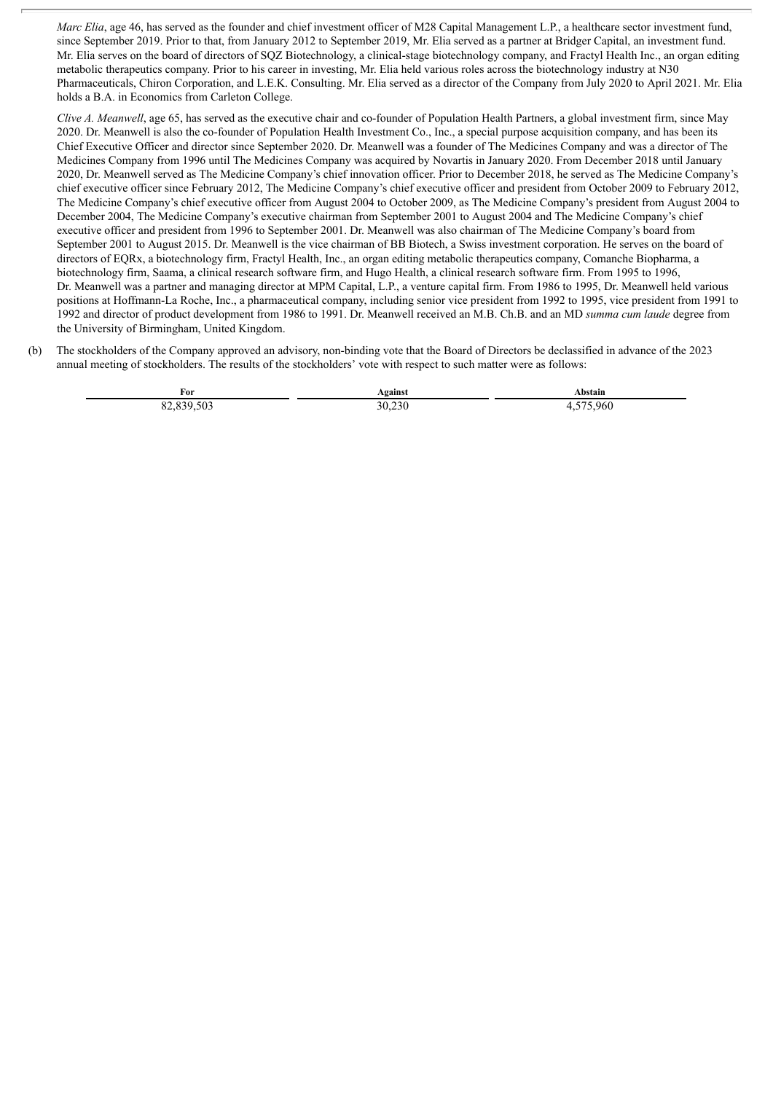*Marc Elia*, age 46, has served as the founder and chief investment officer of M28 Capital Management L.P., a healthcare sector investment fund, since September 2019. Prior to that, from January 2012 to September 2019, Mr. Elia served as a partner at Bridger Capital, an investment fund. Mr. Elia serves on the board of directors of SQZ Biotechnology, a clinical-stage biotechnology company, and Fractyl Health Inc., an organ editing metabolic therapeutics company. Prior to his career in investing, Mr. Elia held various roles across the biotechnology industry at N30 Pharmaceuticals, Chiron Corporation, and L.E.K. Consulting. Mr. Elia served as a director of the Company from July 2020 to April 2021. Mr. Elia holds a B.A. in Economics from Carleton College.

*Clive A. Meanwell*, age 65, has served as the executive chair and co-founder of Population Health Partners, a global investment firm, since May 2020. Dr. Meanwell is also the co-founder of Population Health Investment Co., Inc., a special purpose acquisition company, and has been its Chief Executive Officer and director since September 2020. Dr. Meanwell was a founder of The Medicines Company and was a director of The Medicines Company from 1996 until The Medicines Company was acquired by Novartis in January 2020. From December 2018 until January 2020, Dr. Meanwell served as The Medicine Company's chief innovation officer. Prior to December 2018, he served as The Medicine Company's chief executive officer since February 2012, The Medicine Company's chief executive officer and president from October 2009 to February 2012, The Medicine Company's chief executive officer from August 2004 to October 2009, as The Medicine Company's president from August 2004 to December 2004, The Medicine Company's executive chairman from September 2001 to August 2004 and The Medicine Company's chief executive officer and president from 1996 to September 2001. Dr. Meanwell was also chairman of The Medicine Company's board from September 2001 to August 2015. Dr. Meanwell is the vice chairman of BB Biotech, a Swiss investment corporation. He serves on the board of directors of EQRx, a biotechnology firm, Fractyl Health, Inc., an organ editing metabolic therapeutics company, Comanche Biopharma, a biotechnology firm, Saama, a clinical research software firm, and Hugo Health, a clinical research software firm. From 1995 to 1996, Dr. Meanwell was a partner and managing director at MPM Capital, L.P., a venture capital firm. From 1986 to 1995, Dr. Meanwell held various positions at Hoffmann-La Roche, Inc., a pharmaceutical company, including senior vice president from 1992 to 1995, vice president from 1991 to 1992 and director of product development from 1986 to 1991. Dr. Meanwell received an M.B. Ch.B. and an MD *summa cum laude* degree from the University of Birmingham, United Kingdom.

(b) The stockholders of the Company approved an advisory, non-binding vote that the Board of Directors be declassified in advance of the 2023 annual meeting of stockholders. The results of the stockholders' vote with respect to such matter were as follows:

| For                                                    | vgainst          | Abstain |
|--------------------------------------------------------|------------------|---------|
| $\sim$ 0.0<br>$\circ$<br>503<br>$\sim$<br>$\sim$<br>σ. | $\sim$<br>30.230 | 75.960  |